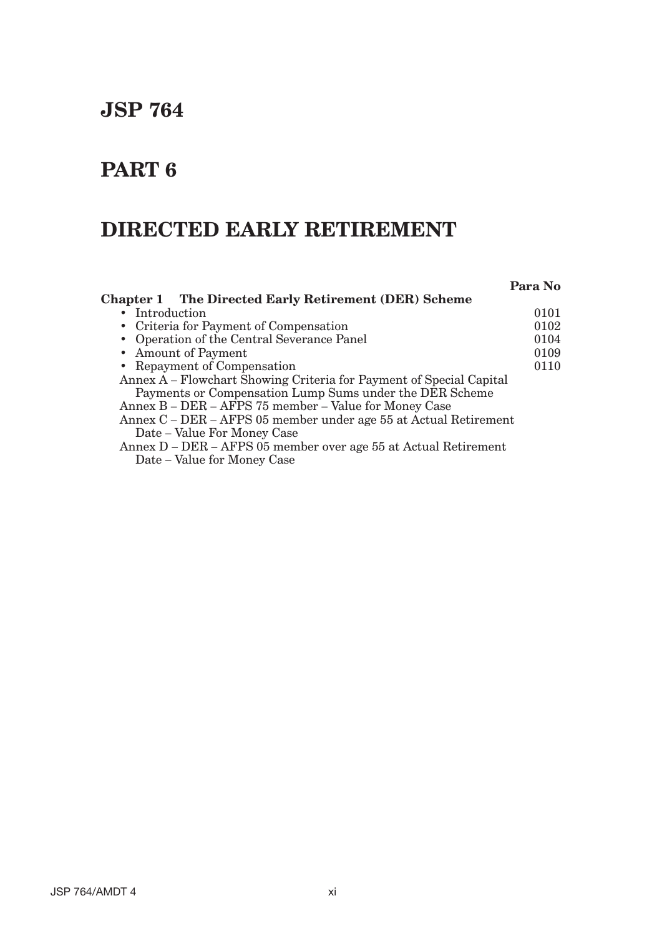# **JSP 764**

# **PART 6**

# **DIRECTED EARLY RETIREMENT**

|                                                                     | Para No |
|---------------------------------------------------------------------|---------|
| <b>Chapter 1</b> The Directed Early Retirement (DER) Scheme         |         |
| • Introduction                                                      | 0101    |
| • Criteria for Payment of Compensation                              | 0102    |
| • Operation of the Central Severance Panel                          | 0104    |
| • Amount of Payment                                                 | 0109    |
| • Repayment of Compensation                                         | 0110    |
| Annex A – Flowchart Showing Criteria for Payment of Special Capital |         |
| Payments or Compensation Lump Sums under the DER Scheme             |         |
| Annex B - DER - AFPS 75 member - Value for Money Case               |         |
| Annex C – DER – AFPS 05 member under age 55 at Actual Retirement    |         |
| Date – Value For Money Case                                         |         |
| Annex D – DER – AFPS 05 member over age 55 at Actual Retirement     |         |
| $\mathbf{v}$<br>$\blacksquare$                                      |         |

Date – Value for Money Case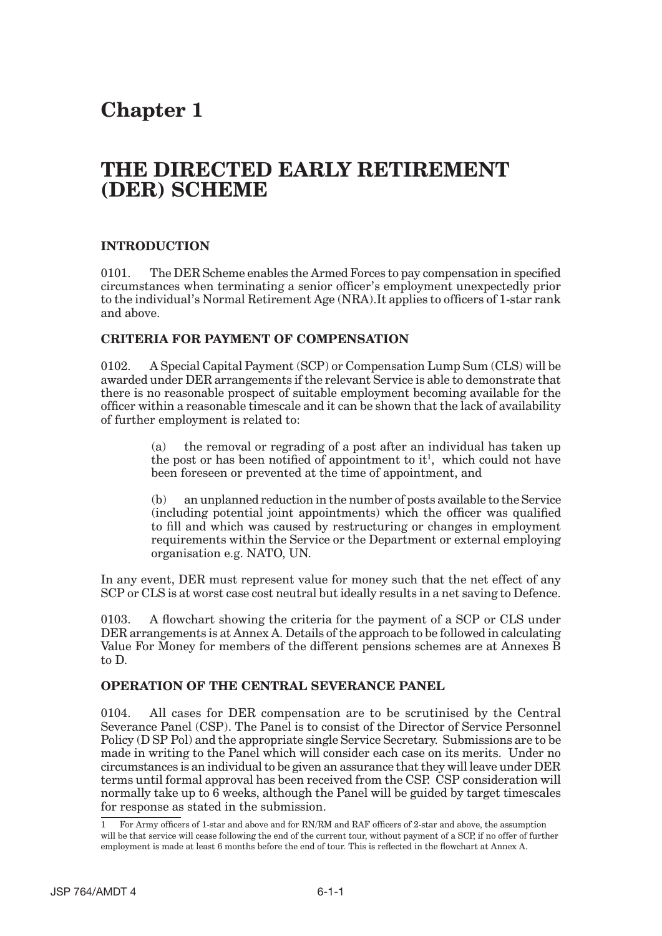## **Chapter 1**

## **THE DIRECTED EARLY RETIREMENT (DER) SCHEME**

## **INTRODUCTION**

0101. The DER Scheme enables the Armed Forces to pay compensation in specified circumstances when terminating a senior officer's employment unexpectedly prior to the individual's Normal Retirement Age (NRA).It applies to officers of 1-star rank and above.

## **CRITERIA FOR PAYMENT OF COMPENSATION**

0102. A Special Capital Payment (SCP) or Compensation Lump Sum (CLS) will be awarded under DER arrangements if the relevant Service is able to demonstrate that there is no reasonable prospect of suitable employment becoming available for the officer within a reasonable timescale and it can be shown that the lack of availability of further employment is related to:

> (a) the removal or regrading of a post after an individual has taken up the post or has been notified of appointment to  $it<sup>1</sup>$ , which could not have been foreseen or prevented at the time of appointment, and

> (b) an unplanned reduction in the number of posts available to the Service (including potential joint appointments) which the officer was qualified to fill and which was caused by restructuring or changes in employment requirements within the Service or the Department or external employing organisation e.g. NATO, UN.

In any event, DER must represent value for money such that the net effect of any SCP or CLS is at worst case cost neutral but ideally results in a net saving to Defence.

0103. A flowchart showing the criteria for the payment of a SCP or CLS under DER arrangements is at Annex A. Details of the approach to be followed in calculating Value For Money for members of the different pensions schemes are at Annexes B to D.

## **OPERATION OF THE CENTRAL SEVERANCE PANEL**

0104. All cases for DER compensation are to be scrutinised by the Central Severance Panel (CSP). The Panel is to consist of the Director of Service Personnel Policy (D SP Pol) and the appropriate single Service Secretary. Submissions are to be made in writing to the Panel which will consider each case on its merits. Under no circumstances is an individual to be given an assurance that they will leave under DER terms until formal approval has been received from the CSP. CSP consideration will normally take up to 6 weeks, although the Panel will be guided by target timescales for response as stated in the submission.

For Army officers of 1-star and above and for RN/RM and RAF officers of 2-star and above, the assumption will be that service will cease following the end of the current tour, without payment of a SCP, if no offer of further employment is made at least 6 months before the end of tour. This is reflected in the flowchart at Annex A. 1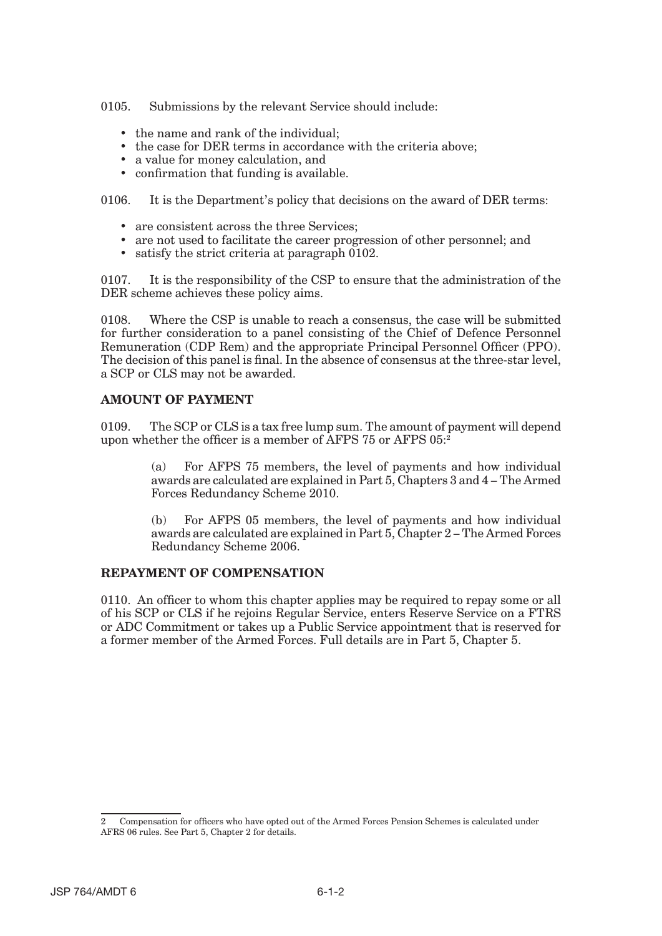0105. Submissions by the relevant Service should include:

- the name and rank of the individual:
- the case for DER terms in accordance with the criteria above;
- a value for money calculation, and
- confirmation that funding is available.

0106. It is the Department's policy that decisions on the award of DER terms:

- are consistent across the three Services;
- are not used to facilitate the career progression of other personnel; and
- satisfy the strict criteria at paragraph 0102.

0107. It is the responsibility of the CSP to ensure that the administration of the DER scheme achieves these policy aims.

0108. Where the CSP is unable to reach a consensus, the case will be submitted for further consideration to a panel consisting of the Chief of Defence Personnel Remuneration (CDP Rem) and the appropriate Principal Personnel Officer (PPO). The decision of this panel is final. In the absence of consensus at the three-star level, a SCP or CLS may not be awarded.

#### **AMOUNT OF PAYMENT**

0109. The SCP or CLS is a tax free lump sum. The amount of payment will depend upon whether the officer is a member of AFPS 75 or AFPS 05:2

> (a) For AFPS 75 members, the level of payments and how individual awards are calculated are explained in Part 5, Chapters 3 and 4 – The Armed Forces Redundancy Scheme 2010.

> (b) For AFPS 05 members, the level of payments and how individual awards are calculated are explained in Part 5, Chapter 2 – The Armed Forces Redundancy Scheme 2006.

#### **REPAYMENT OF COMPENSATION**

0110. An officer to whom this chapter applies may be required to repay some or all of his SCP or CLS if he rejoins Regular Service, enters Reserve Service on a FTRS or ADC Commitment or takes up a Public Service appointment that is reserved for a former member of the Armed Forces. Full details are in Part 5, Chapter 5.

Compensation for officers who have opted out of the Armed Forces Pension Schemes is calculated under AFRS 06 rules. See Part 5, Chapter 2 for details. 2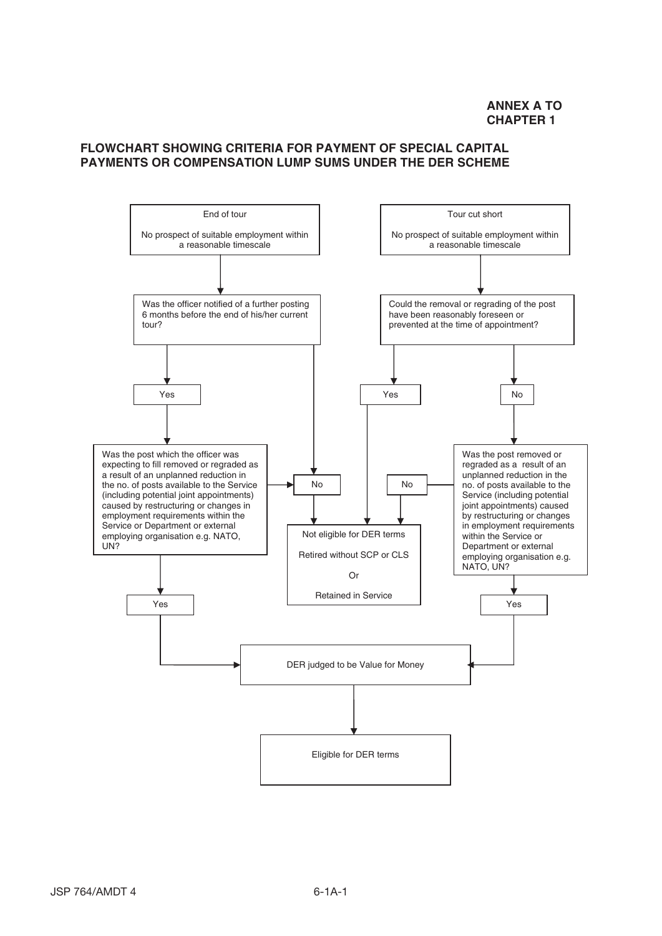### **FLOWCHART SHOWING CRITERIA FOR PAYMENT OF SPECIAL CAPITAL PAYMENTS OR COMPENSATION LUMP SUMS UNDER THE DER SCHEME**

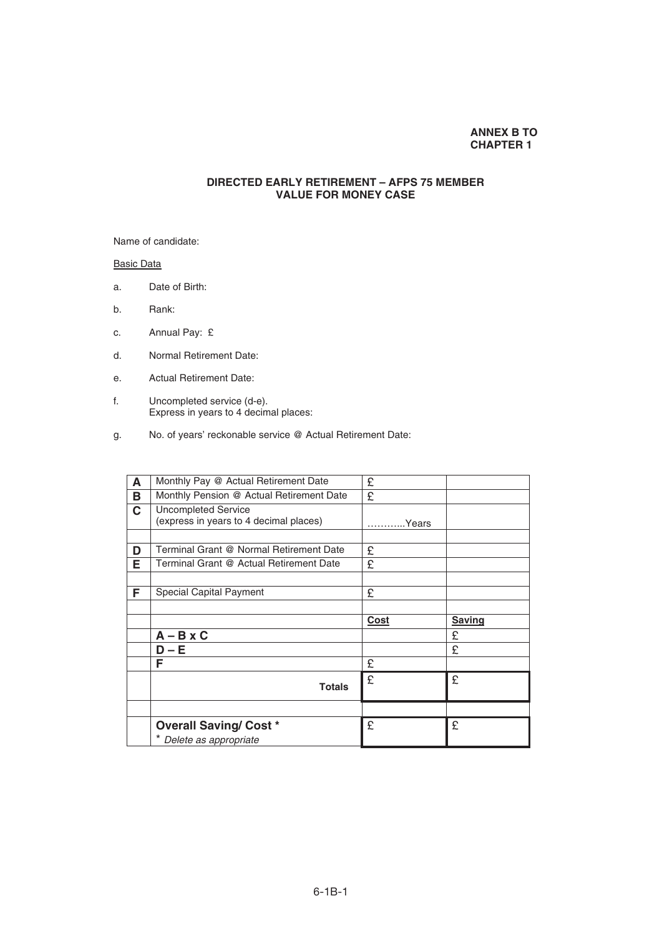#### **ANNEX B TO CHAPTER 1**

#### **DIRECTED EARLY RETIREMENT – AFPS 75 MEMBER VALUE FOR MONEY CASE**

Name of candidate:

Basic Data

- a. Date of Birth:
- b. Rank:
- c. Annual Pay: £
- d. Normal Retirement Date:
- e. Actual Retirement Date:
- f. Uncompleted service (d-e). Express in years to 4 decimal places:
- g. No. of years' reckonable service @ Actual Retirement Date:

| Monthly Pay @ Actual Retirement Date     | £                                                |               |
|------------------------------------------|--------------------------------------------------|---------------|
| Monthly Pension @ Actual Retirement Date | £                                                |               |
| <b>Uncompleted Service</b>               |                                                  |               |
|                                          | Years                                            |               |
|                                          |                                                  |               |
| Terminal Grant @ Normal Retirement Date  | £                                                |               |
| Terminal Grant @ Actual Retirement Date  | £                                                |               |
|                                          |                                                  |               |
| Special Capital Payment                  | £                                                |               |
|                                          |                                                  |               |
|                                          | <b>Cost</b>                                      | <b>Saving</b> |
| $A - B \times C$                         |                                                  | £             |
| D – E                                    |                                                  | £             |
| F                                        | £                                                |               |
|                                          | £                                                | £             |
|                                          |                                                  |               |
|                                          |                                                  |               |
| <b>Overall Saving/ Cost *</b>            | £                                                | £             |
| Delete as appropriate                    |                                                  |               |
|                                          | (express in years to 4 decimal places)<br>Totals |               |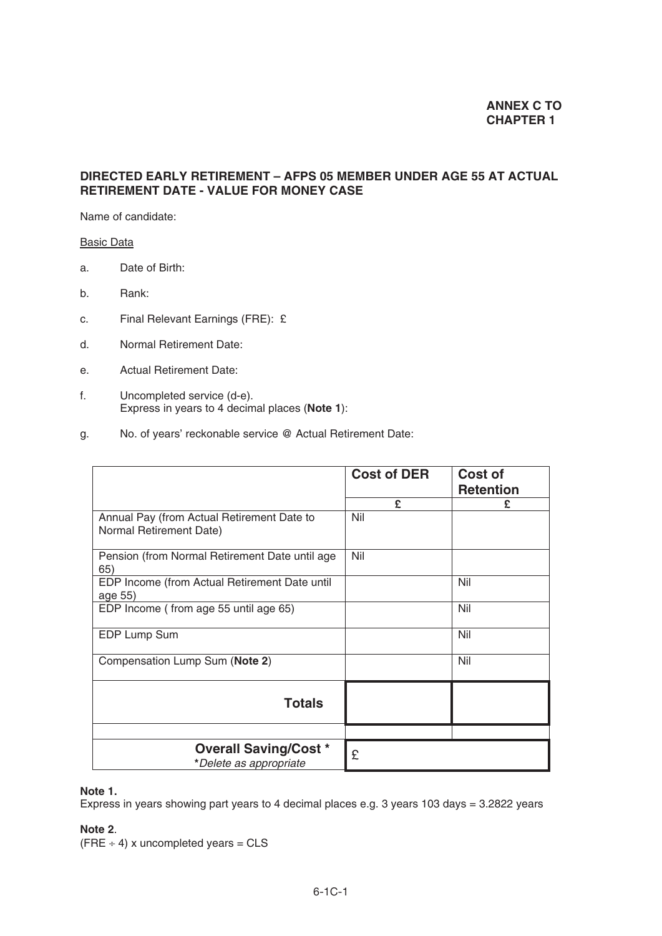### **DIRECTED EARLY RETIREMENT – AFPS 05 MEMBER UNDER AGE 55 AT ACTUAL RETIREMENT DATE - VALUE FOR MONEY CASE**

Name of candidate:

#### Basic Data

- a. Date of Birth:
- b. Rank:
- c. Final Relevant Earnings (FRE): £
- d. Normal Retirement Date:
- e. Actual Retirement Date:
- f. Uncompleted service (d-e). Express in years to 4 decimal places (**Note 1**):
- g. No. of years' reckonable service @ Actual Retirement Date:

|                                                                       | <b>Cost of DER</b> | <b>Cost of</b><br><b>Retention</b> |
|-----------------------------------------------------------------------|--------------------|------------------------------------|
|                                                                       | £                  | £                                  |
| Annual Pay (from Actual Retirement Date to<br>Normal Retirement Date) | Nil                |                                    |
| Pension (from Normal Retirement Date until age<br>65)                 | Nil                |                                    |
| EDP Income (from Actual Retirement Date until<br>age 55)              |                    | Nil                                |
| EDP Income (from age 55 until age 65)                                 |                    | Nil                                |
| EDP Lump Sum                                                          |                    | Nil                                |
| Compensation Lump Sum (Note 2)                                        |                    | Nil                                |
| <b>Totals</b>                                                         |                    |                                    |
|                                                                       |                    |                                    |
| <b>Overall Saving/Cost *</b><br>*Delete as appropriate                | £                  |                                    |

## **Note 1.**

Express in years showing part years to 4 decimal places e.g. 3 years 103 days = 3.2822 years

#### **Note 2**.

 $(FRE \div 4)$  x uncompleted years = CLS